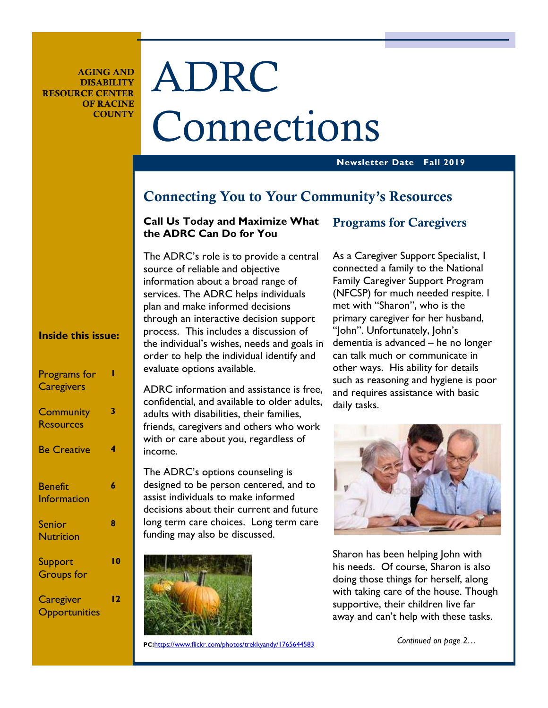**AGING AND DISABILITY RESOURCE CENTER OF RACINE COUNTY** 

# ADRC Connections

### **Newsletter Date Fall 2019**

### **Connecting You to Your Community's Resources**

### **Call Us Today and Maximize What the ADRC Can Do for You**

The ADRC's role is to provide a central source of reliable and objective information about a broad range of services. The ADRC helps individuals plan and make informed decisions through an interactive decision support process. This includes a discussion of the individual's wishes, needs and goals in order to help the individual identify and evaluate options available.

ADRC information and assistance is free, confidential, and available to older adults, adults with disabilities, their families, friends, caregivers and others who work with or care about you, regardless of income.

The ADRC's options counseling is designed to be person centered, and to assist individuals to make informed decisions about their current and future long term care choices. Long term care funding may also be discussed.



### **Programs for Caregivers**

As a Caregiver Support Specialist, I connected a family to the National Family Caregiver Support Program (NFCSP) for much needed respite. I met with "Sharon", who is the primary caregiver for her husband, "|ohn". Unfortunately, John's dementia is advanced – he no longer can talk much or communicate in other ways. His ability for details such as reasoning and hygiene is poor and requires assistance with basic daily tasks.



Sharon has been helping John with his needs. Of course, Sharon is also doing those things for herself, along with taking care of the house. Though supportive, their children live far away and can't help with these tasks.

**Inside this issue:** 

| Programs for<br><b>Caregivers</b>    |     |
|--------------------------------------|-----|
| Community<br><b>Resources</b>        | 3   |
| <b>Be Creative</b>                   | 4   |
| <b>Benefit</b><br><b>Information</b> | 6   |
| <b>Senior</b><br><b>Nutrition</b>    | 8   |
| Support<br><b>Groups</b> for         | I 0 |
| Caregiver<br>Opportunities           | l 2 |

**PC:**https://www.flickr.com/photos/trekkyandy/1765644583

 *Continued on page 2…*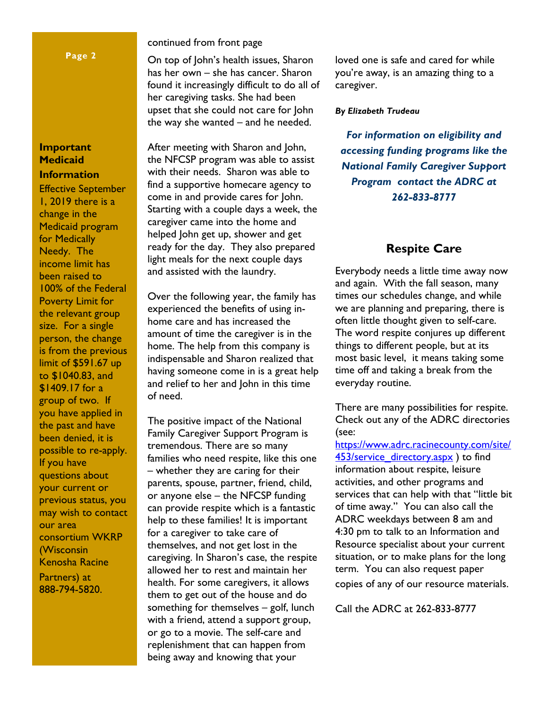### **Page 2**

### **Important Medicaid Information**

Effective September 1, 2019 there is a change in the Medicaid program for Medically Needy. The income limit has been raised to 100% of the Federal Poverty Limit for the relevant group size. For a single person, the change is from the previous limit of \$591.67 up to \$1040.83, and \$1409.17 for a group of two. If you have applied in the past and have been denied, it is possible to re-apply. If you have questions about your current or previous status, you may wish to contact our area consortium WKRP (Wisconsin Kenosha Racine Partners) at 888-794-5820.

continued from front page

On top of John's health issues, Sharon has her own – she has cancer. Sharon found it increasingly difficult to do all of her caregiving tasks. She had been upset that she could not care for John the way she wanted – and he needed.

After meeting with Sharon and John, the NFCSP program was able to assist with their needs. Sharon was able to find a supportive homecare agency to come in and provide cares for John. Starting with a couple days a week, the caregiver came into the home and helped John get up, shower and get ready for the day. They also prepared light meals for the next couple days and assisted with the laundry.

Over the following year, the family has experienced the benefits of using inhome care and has increased the amount of time the caregiver is in the home. The help from this company is indispensable and Sharon realized that having someone come in is a great help and relief to her and John in this time of need.

The positive impact of the National Family Caregiver Support Program is tremendous. There are so many families who need respite, like this one – whether they are caring for their parents, spouse, partner, friend, child, or anyone else – the NFCSP funding can provide respite which is a fantastic help to these families! It is important for a caregiver to take care of themselves, and not get lost in the caregiving. In Sharon's case, the respite allowed her to rest and maintain her health. For some caregivers, it allows them to get out of the house and do something for themselves – golf, lunch with a friend, attend a support group, or go to a movie. The self-care and replenishment that can happen from being away and knowing that your

loved one is safe and cared for while you're away, is an amazing thing to a caregiver.

### *By Elizabeth Trudeau*

*For information on eligibility and accessing funding programs like the National Family Caregiver Support Program contact the ADRC at 262-833-8777* 

### **Respite Care**

Everybody needs a little time away now and again. With the fall season, many times our schedules change, and while we are planning and preparing, there is often little thought given to self-care. The word respite conjures up different things to different people, but at its most basic level, it means taking some time off and taking a break from the everyday routine.

There are many possibilities for respite. Check out any of the ADRC directories (see:

https://www.adrc.racinecounty.com/site/ 453/service\_directory.aspx ) to find information about respite, leisure activities, and other programs and services that can help with that "little bit of time away." You can also call the ADRC weekdays between 8 am and 4:30 pm to talk to an Information and Resource specialist about your current situation, or to make plans for the long term. You can also request paper copies of any of our resource materials.

Call the ADRC at 262-833-8777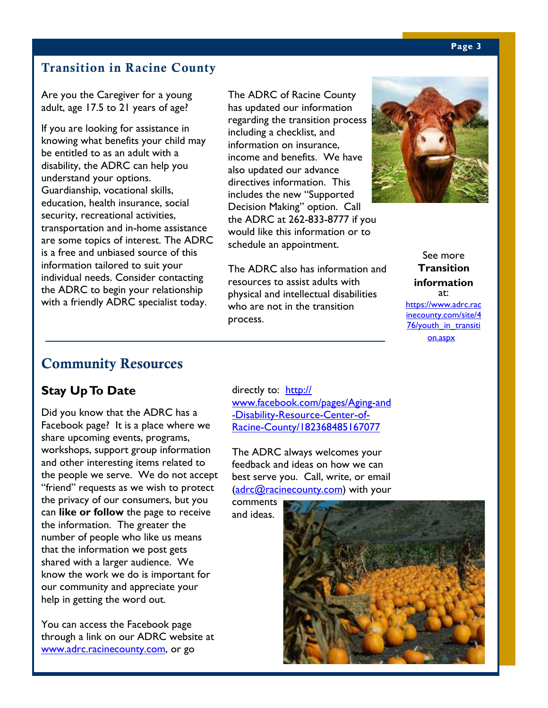### **Transition in Racine County**

Are you the Caregiver for a young adult, age 17.5 to 21 years of age?

If you are looking for assistance in knowing what benefits your child may be entitled to as an adult with a disability, the ADRC can help you understand your options. Guardianship, vocational skills, education, health insurance, social security, recreational activities, transportation and in-home assistance are some topics of interest. The ADRC is a free and unbiased source of this information tailored to suit your individual needs. Consider contacting the ADRC to begin your relationship with a friendly ADRC specialist today.

The ADRC of Racine County has updated our information regarding the transition process including a checklist, and information on insurance, income and benefits. We have also updated our advance directives information. This includes the new "Supported Decision Making" option. Call the ADRC at 262-833-8777 if you would like this information or to schedule an appointment.

The ADRC also has information and resources to assist adults with physical and intellectual disabilities who are not in the transition process.



See more **Transition information**  at: https://www.adrc.rac inecounty.com/site/4 76/youth in transiti on.aspx

### **Community Resources**

### **Stay Up To Date**

Did you know that the ADRC has a Facebook page? It is a place where we share upcoming events, programs, workshops, support group information and other interesting items related to the people we serve. We do not accept "friend" requests as we wish to protect the privacy of our consumers, but you can **like or follow** the page to receive the information. The greater the number of people who like us means that the information we post gets shared with a larger audience. We know the work we do is important for our community and appreciate your help in getting the word out.

You can access the Facebook page through a link on our ADRC website at www.adrc.racinecounty.com, or go

directly to: http:// www.facebook.com/pages/Aging-and -Disability-Resource-Center-of-Racine-County/182368485167077

The ADRC always welcomes your feedback and ideas on how we can best serve you. Call, write, or email (adrc@racinecounty.com) with your

comments and ideas.

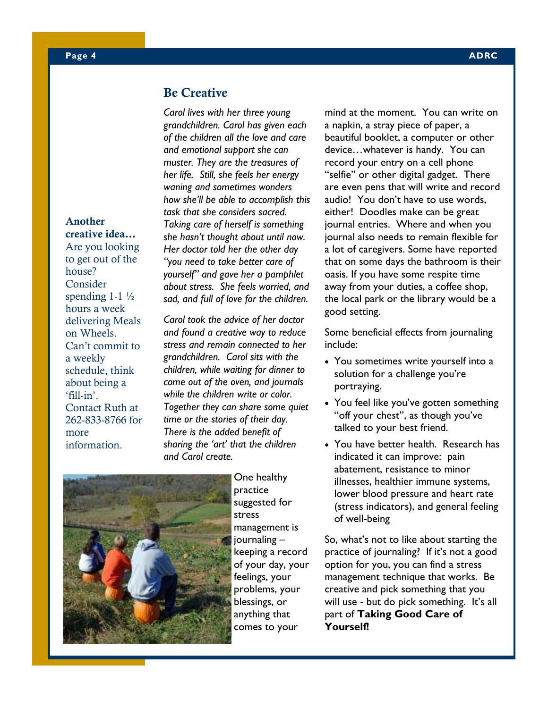### **Be Creative**

*Carol lives with her three young grandchildren. Carol has given each of the children all the love and care and emotional support she can muster. They are the treasures of her life. Still, she feels her energy waning and sometimes wonders how she'll be able to accomplish this task that she considers sacred. Taking care of herself is something she hasn't thought about until now. Her doctor told her the other day "you need to take better care of yourself" and gave her a pamphlet about stress. She feels worried, and sad, and full of love for the children.* 

*Carol took the advice of her doctor and found a creative way to reduce stress and remain connected to her grandchildren. Carol sits with the children, while waiting for dinner to come out of the oven, and journals while the children write or color. Together they can share some quiet time or the stories of their day. There is the added benefit of sharing the 'art' that the children and Carol create.* 



One healthy practice suggested for stress management is journaling – keeping a record of your day, your feelings, your problems, your blessings, or anything that comes to your

mind at the moment. You can write on a napkin, a stray piece of paper, a beautiful booklet, a computer or other device…whatever is handy. You can record your entry on a cell phone "selfie" or other digital gadget. There are even pens that will write and record audio! You don't have to use words, either! Doodles make can be great journal entries. Where and when you journal also needs to remain flexible for a lot of caregivers. Some have reported that on some days the bathroom is their oasis. If you have some respite time away from your duties, a coffee shop, the local park or the library would be a good setting.

Some beneficial effects from journaling include:

- You sometimes write yourself into a solution for a challenge you're portraying.
- You feel like you've gotten something "off your chest", as though you've talked to your best friend.
- You have better health. Research has indicated it can improve: pain abatement, resistance to minor illnesses, healthier immune systems, lower blood pressure and heart rate (stress indicators), and general feeling of well-being

So, what's not to like about starting the practice of journaling? If it's not a good option for you, you can find a stress management technique that works. Be creative and pick something that you will use - but do pick something. It's all part of **Taking Good Care of Yourself!** 

**Another creative idea…**

Are you looking to get out of the house? Consider spending  $1-1\frac{1}{2}$ hours a week delivering Meals on Wheels. Can't commit to a weekly schedule, think about being a 'fill-in'. Contact Ruth at 262-833-8766 for more information.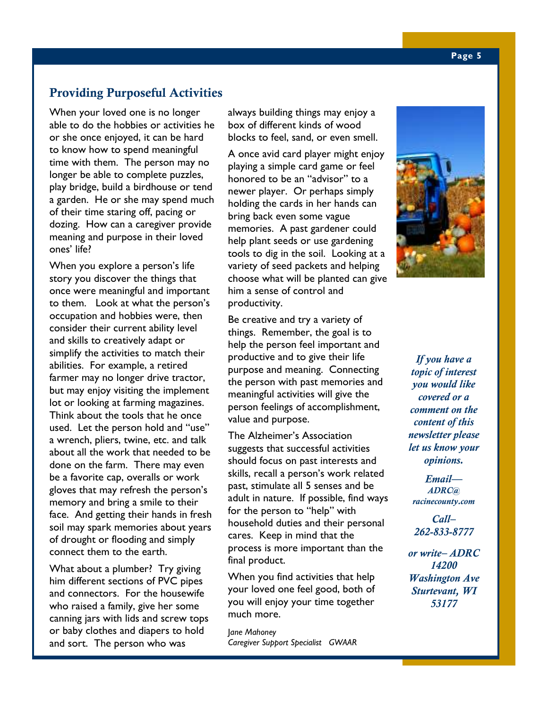### **Providing Purposeful Activities**

When your loved one is no longer able to do the hobbies or activities he or she once enjoyed, it can be hard to know how to spend meaningful time with them. The person may no longer be able to complete puzzles, play bridge, build a birdhouse or tend a garden. He or she may spend much of their time staring off, pacing or dozing. How can a caregiver provide meaning and purpose in their loved ones' life?

When you explore a person's life story you discover the things that once were meaningful and important to them. Look at what the person's occupation and hobbies were, then consider their current ability level and skills to creatively adapt or simplify the activities to match their abilities. For example, a retired farmer may no longer drive tractor, but may enjoy visiting the implement lot or looking at farming magazines. Think about the tools that he once used. Let the person hold and "use" a wrench, pliers, twine, etc. and talk about all the work that needed to be done on the farm. There may even be a favorite cap, overalls or work gloves that may refresh the person's memory and bring a smile to their face. And getting their hands in fresh soil may spark memories about years of drought or flooding and simply connect them to the earth.

What about a plumber? Try giving him different sections of PVC pipes and connectors. For the housewife who raised a family, give her some canning jars with lids and screw tops or baby clothes and diapers to hold and sort. The person who was

always building things may enjoy a box of different kinds of wood blocks to feel, sand, or even smell.

A once avid card player might enjoy playing a simple card game or feel honored to be an "advisor" to a newer player. Or perhaps simply holding the cards in her hands can bring back even some vague memories. A past gardener could help plant seeds or use gardening tools to dig in the soil. Looking at a variety of seed packets and helping choose what will be planted can give him a sense of control and productivity.

Be creative and try a variety of things. Remember, the goal is to help the person feel important and productive and to give their life purpose and meaning. Connecting the person with past memories and meaningful activities will give the person feelings of accomplishment, value and purpose.

The Alzheimer's Association suggests that successful activities should focus on past interests and skills, recall a person's work related past, stimulate all 5 senses and be adult in nature. If possible, find ways for the person to "help" with household duties and their personal cares. Keep in mind that the process is more important than the final product.

When you find activities that help your loved one feel good, both of you will enjoy your time together much more.

J*ane Mahoney Caregiver Support Specialist GWAAR* 



*If you have a topic of interest you would like covered or a comment on the content of this newsletter please let us know your opinions.* 

*Email— ADRC@ racinecounty.com* 

*Call– 262-833-8777* 

*or write– ADRC 14200 Washington Ave Sturtevant, WI 53177*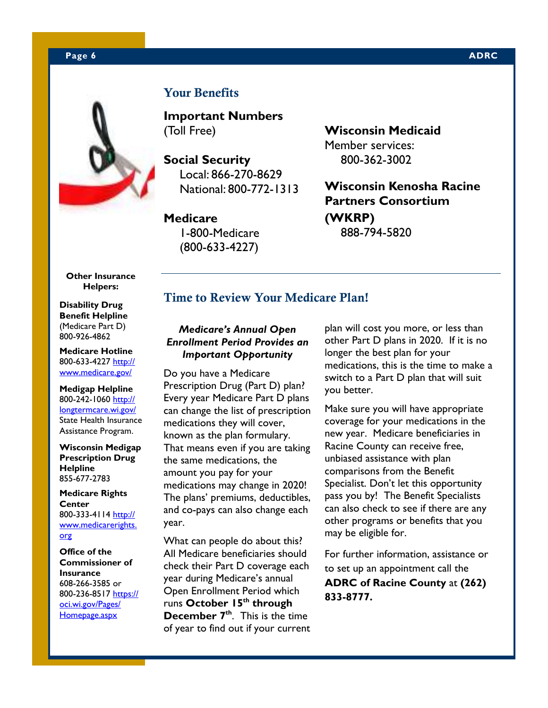### **Page 6 ADRC 2012 12:00:00 ADRC 2013 12:00:00 ADRC 2014 12:00:00 ADRC 2014 12:00:00 ADRC**



### **Your Benefits**

**Important Numbers**  (Toll Free)

**Social Security**  Local: 866-270-8629 National: 800-772-1313

### **Medicare**  1-800-Medicare

(800-633-4227)

**Wisconsin Medicaid**  Member services: 800-362-3002

**Wisconsin Kenosha Racine Partners Consortium (WKRP)**  888-794-5820

**Other Insurance Helpers:** 

**Disability Drug Benefit Helpline**  (Medicare Part D) 800-926-4862

**Medicare Hotline**  800-633-4227 http:// www.medicare.gov/

**Medigap Helpline**  800-242-1060 http:// longtermcare.wi.gov/ State Health Insurance Assistance Program.

### **Wisconsin Medigap Prescription Drug Helpline**  855-677-2783

**Medicare Rights Center**  800-333-4114 http:// www.medicarerights. org

**Office of the Commissioner of Insurance**  608-266-3585 or 800-236-8517 https:// oci.wi.gov/Pages/ Homepage.aspx

### **Time to Review Your Medicare Plan!**

### *Medicare's Annual Open Enrollment Period Provides an Important Opportunity*

Do you have a Medicare Prescription Drug (Part D) plan? Every year Medicare Part D plans can change the list of prescription medications they will cover, known as the plan formulary. That means even if you are taking the same medications, the amount you pay for your medications may change in 2020! The plans' premiums, deductibles, and co-pays can also change each year.

What can people do about this? All Medicare beneficiaries should check their Part D coverage each year during Medicare's annual Open Enrollment Period which runs **October 15th through December 7th**. This is the time of year to find out if your current plan will cost you more, or less than other Part D plans in 2020. If it is no longer the best plan for your medications, this is the time to make a switch to a Part D plan that will suit you better.

Make sure you will have appropriate coverage for your medications in the new year. Medicare beneficiaries in Racine County can receive free, unbiased assistance with plan comparisons from the Benefit Specialist. Don't let this opportunity pass you by! The Benefit Specialists can also check to see if there are any other programs or benefits that you may be eligible for.

For further information, assistance or to set up an appointment call the **ADRC of Racine County** at **(262) 833-8777.**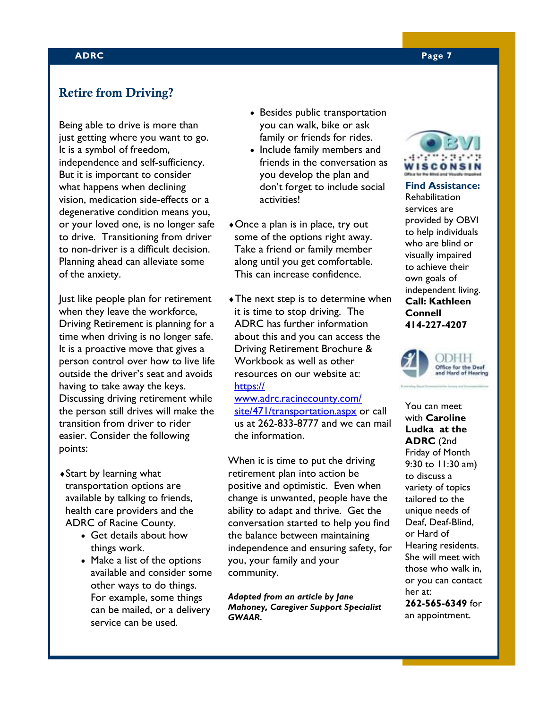### **ADRC Page 7**

### **Retire from Driving?**

Being able to drive is more than just getting where you want to go. It is a symbol of freedom, independence and self-sufficiency. But it is important to consider what happens when declining vision, medication side-effects or a degenerative condition means you, or your loved one, is no longer safe to drive. Transitioning from driver to non-driver is a difficult decision. Planning ahead can alleviate some of the anxiety.

Just like people plan for retirement when they leave the workforce, Driving Retirement is planning for a time when driving is no longer safe. It is a proactive move that gives a person control over how to live life outside the driver's seat and avoids having to take away the keys. Discussing driving retirement while the person still drives will make the transition from driver to rider easier. Consider the following points:

- ♦Start by learning what transportation options are available by talking to friends, health care providers and the ADRC of Racine County.
	- Get details about how things work.
	- Make a list of the options available and consider some other ways to do things. For example, some things can be mailed, or a delivery service can be used.
- Besides public transportation you can walk, bike or ask family or friends for rides.
- Include family members and friends in the conversation as you develop the plan and don't forget to include social activities!
- $\triangle$ Once a plan is in place, try out some of the options right away. Take a friend or family member along until you get comfortable. This can increase confidence.
- $\triangleleft$ The next step is to determine when it is time to stop driving. The ADRC has further information about this and you can access the Driving Retirement Brochure & Workbook as well as other resources on our website at: https://

www.adrc.racinecounty.com/ site/471/transportation.aspx or call us at 262-833-8777 and we can mail the information.

When it is time to put the driving retirement plan into action be positive and optimistic. Even when change is unwanted, people have the ability to adapt and thrive. Get the conversation started to help you find the balance between maintaining independence and ensuring safety, for you, your family and your community.

*Adapted from an article by Jane Mahoney, Caregiver Support Specialist GWAAR.* 



Rehabilitation services are provided by OBVI to help individuals who are blind or visually impaired to achieve their own goals of independent living. **Call: Kathleen Connell 414-227-4207** 



You can meet with **Caroline Ludka at the ADRC** (2nd Friday of Month 9:30 to 11:30 am) to discuss a variety of topics tailored to the unique needs of Deaf, Deaf-Blind, or Hard of Hearing residents. She will meet with those who walk in, or you can contact her at: **262-565-6349** for an appointment.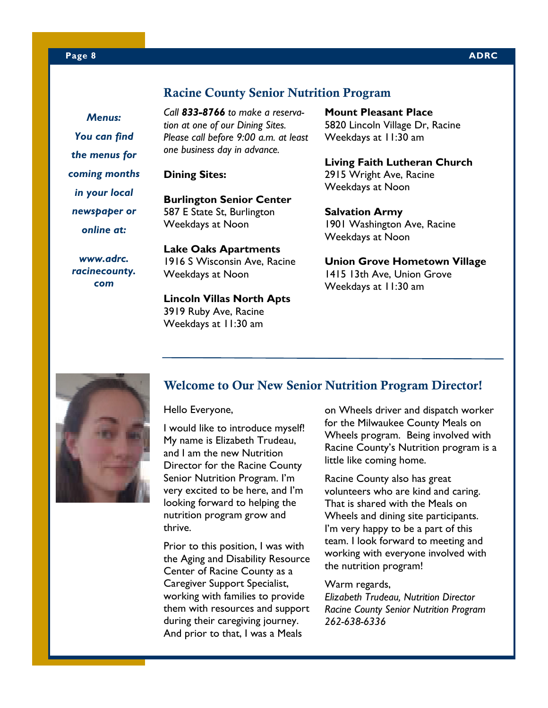### **Racine County Senior Nutrition Program**

*Menus: You can find the menus for coming months in your local newspaper or online at:* 

*www.adrc. racinecounty. com* 

*Call 833-8766 to make a reservation at one of our Dining Sites. Please call before 9:00 a.m. at least one business day in advance.* 

**Dining Sites:** 

**Burlington Senior Center**  587 E State St, Burlington Weekdays at Noon

**Lake Oaks Apartments**  1916 S Wisconsin Ave, Racine Weekdays at Noon

**Lincoln Villas North Apts** 3919 Ruby Ave, Racine Weekdays at 11:30 am

**Mount Pleasant Place**  5820 Lincoln Village Dr, Racine Weekdays at 11:30 am

**Living Faith Lutheran Church**  2915 Wright Ave, Racine Weekdays at Noon

**Salvation Army**  1901 Washington Ave, Racine Weekdays at Noon

**Union Grove Hometown Village**  1415 13th Ave, Union Grove Weekdays at 11:30 am



### **Welcome to Our New Senior Nutrition Program Director!**

Hello Everyone,

I would like to introduce myself! My name is Elizabeth Trudeau, and I am the new Nutrition Director for the Racine County Senior Nutrition Program. I'm very excited to be here, and I'm looking forward to helping the nutrition program grow and thrive.

Prior to this position, I was with the Aging and Disability Resource Center of Racine County as a Caregiver Support Specialist, working with families to provide them with resources and support during their caregiving journey. And prior to that, I was a Meals

on Wheels driver and dispatch worker for the Milwaukee County Meals on Wheels program. Being involved with Racine County's Nutrition program is a little like coming home.

Racine County also has great volunteers who are kind and caring. That is shared with the Meals on Wheels and dining site participants. I'm very happy to be a part of this team. I look forward to meeting and working with everyone involved with the nutrition program!

Warm regards,

*Elizabeth Trudeau, Nutrition Director Racine County Senior Nutrition Program 262-638-6336*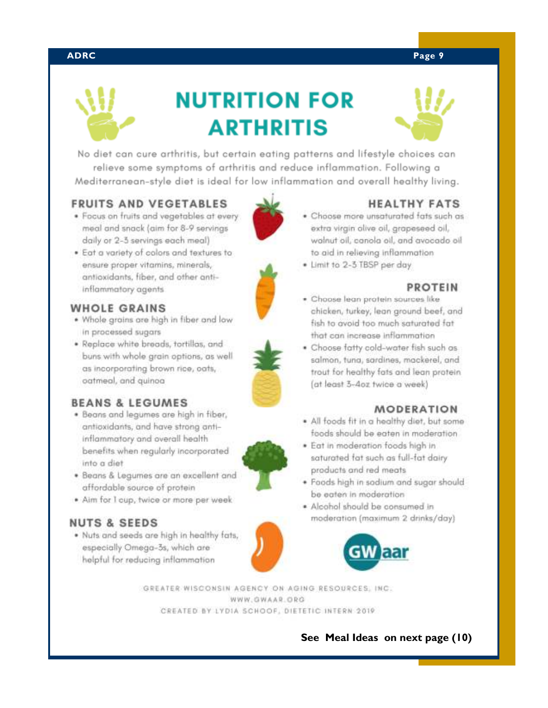### **ADRC Page 9**



## **NUTRITION FOR ARTHRITIS**



No diet can cure arthritis, but certain eating patterns and lifestyle choices can relieve some symptoms of arthritis and reduce inflammation. Following a Mediterranean-style diet is ideal for low inflammation and overall healthy living.

### **FRUITS AND VEGETABLES**

- . Focus on fruits and vegetables at every meal and snack (aim for 8-9 servings daily or 2-3 servings each meal)
- . Eat a variety of colors and textures to ensure proper vitamins, minerals, antioxidants, fiber, and other antiinflammatory agents

### **WHOLE GRAINS**

- . Whole grains are high in fiber and low in processed sugars
- · Replace white breads, tortillas, and buns with whole grain options, as well as incorporating brown rice, oats, oatmeal, and quinoa

### **BEANS & LEGUMES**

- . Beans and leaumes are high in fiber, antioxidants, and have strong antiinflammatory and overall health benefits when regularly incorporated into a diet
- . Beans & Legumes are an excellent and affordable source of protein
- · Aim for I cup, twice or more per week

### **NUTS & SEEDS**

. Nuts and seeds are high in healthy fats, especially Omega-3s, which are helpful for reducing inflammation





### **HEALTHY FATS**

- . Choose more unsaturated fats such as extra virgin alive ail, grapeseed ail, walnut oil, canola oil, and avocado oil to aid in relieving inflammation
- · Limit to 2-3 TBSP per day

### **PROTEIN**

- · Choose lean protein sources like chicken, turkey, lean ground beef, and fish to avoid too much saturated fat that can increase inflammation
- . Choose fatty cold-water fish such as salmon, tuna, sardines, mackerel, and trout for healthy fats and lean protein (at least 3-4oz twice a week)

### **MODERATION**

- . All foods fit in a healthy diet, but some foods should be eaten in moderation.
- · Eat in moderation foods high in saturated fat such as full-fat dairy products and red meats
- · Foods high in sodium and sugar should be eaten in moderation
- \* Alcohol should be consumed in moderation (maximum 2 drinks/day)



GREATER WISCONSIN AGENCY ON AGING RESOURCES, INC. WWW.GWAAR.ORG CREATED BY LYDIA SCHOOF, DIETETIC INTERN 2019

 **See Meal Ideas on next page (10)** 



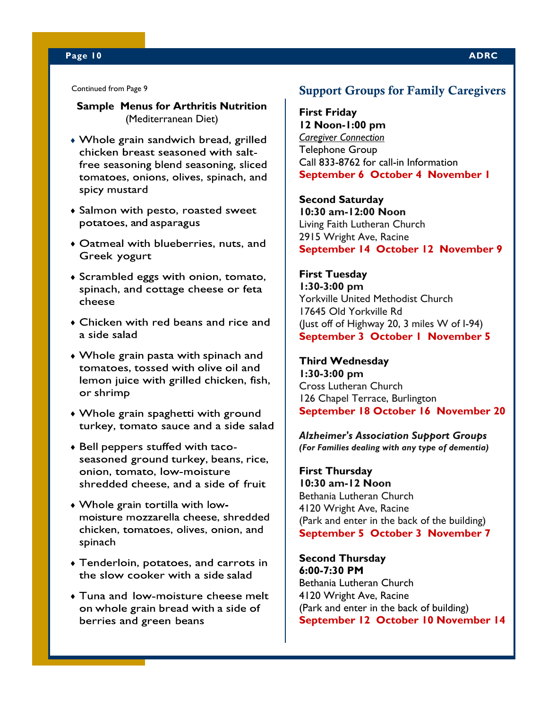### **Page 10 ADRC**

Continued from Page 9

### **Sample Menus for Arthritis Nutrition**  (Mediterranean Diet)

- Whole grain sandwich bread, grilled chicken breast seasoned with saltfree seasoning blend seasoning, sliced tomatoes, onions, olives, spinach, and spicy mustard
- Salmon with pesto, roasted sweet potatoes, and asparagus
- Oatmeal with blueberries, nuts, and Greek yogurt
- Scrambled eggs with onion, tomato, spinach, and cottage cheese or feta cheese
- Chicken with red beans and rice and a side salad
- Whole grain pasta with spinach and tomatoes, tossed with olive oil and lemon juice with grilled chicken, fish, or shrimp
- Whole grain spaghetti with ground turkey, tomato sauce and a side salad
- Bell peppers stuffed with tacoseasoned ground turkey, beans, rice, onion, tomato, low-moisture shredded cheese, and a side of fruit
- Whole grain tortilla with lowmoisture mozzarella cheese, shredded chicken, tomatoes, olives, onion, and spinach
- Tenderloin, potatoes, and carrots in the slow cooker with a side salad
- Tuna and low-moisture cheese melt on whole grain bread with a side of berries and green beans

### **Support Groups for Family Caregivers**

**First Friday 12 Noon-1:00 pm** *Caregiver Connection* Telephone Group Call 833-8762 for call-in Information **September 6 October 4 November 1**

**Second Saturday 10:30 am-12:00 Noon** Living Faith Lutheran Church 2915 Wright Ave, Racine **September 14 October 12 November 9**

### **First Tuesday 1:30-3:00 pm** Yorkville United Methodist Church 17645 Old Yorkville Rd

(Just off of Highway 20, 3 miles W of I-94) **September 3 October 1 November 5**

### **Third Wednesday 1:30-3:00 pm** Cross Lutheran Church 126 Chapel Terrace, Burlington **September 18 October 16 November 20**

*Alzheimer's Association Support Groups (For Families dealing with any type of dementia)* 

**First Thursday 10:30 am-12 Noon** Bethania Lutheran Church 4120 Wright Ave, Racine (Park and enter in the back of the building) **September 5 October 3 November 7**

**Second Thursday 6:00-7:30 PM** Bethania Lutheran Church 4120 Wright Ave, Racine (Park and enter in the back of building) **September 12 October 10 November 14**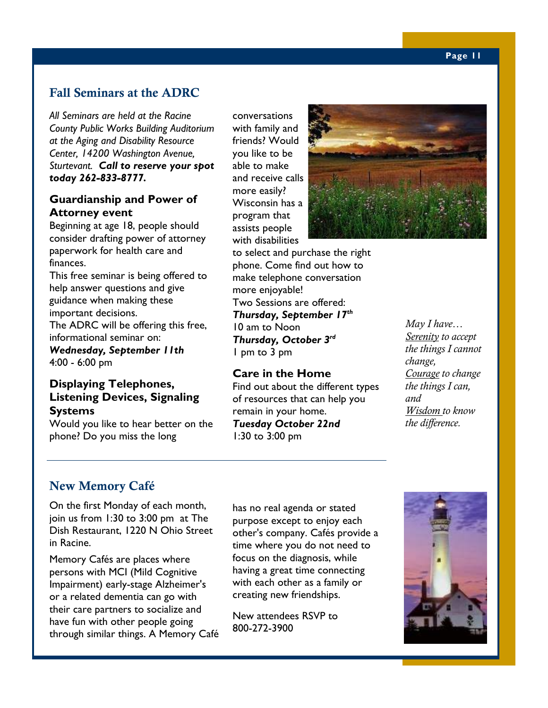### **Fall Seminars at the ADRC**

*All Seminars are held at the Racine County Public Works Building Auditorium at the Aging and Disability Resource Center, 14200 Washington Avenue, Sturtevant. Call to reserve your spot today 262-833-8777.*

### **Guardianship and Power of Attorney event**

Beginning at age 18, people should consider drafting power of attorney paperwork for health care and finances.

This free seminar is being offered to help answer questions and give guidance when making these important decisions. The ADRC will be offering this free, informational seminar on:

*Wednesday, September 11th* 4:00 - 6:00 pm

### **Displaying Telephones, Listening Devices, Signaling Systems**

Would you like to hear better on the phone? Do you miss the long

conversations with family and friends? Would you like to be able to make and receive calls more easily? Wisconsin has a program that assists people with disabilities

to select and purchase the right phone. Come find out how to make telephone conversation more enjoyable! Two Sessions are offered: *Thursday, September 17th*  10 am to Noon *Thursday, October 3rd*  1 pm to 3 pm

### **Care in the Home**

Find out about the different types of resources that can help you remain in your home. *Tuesday October 22nd* 1:30 to 3:00 pm



*May I have… Serenity to accept the things I cannot change, Courage to change the things I can, and Wisdom to know the difference.* 

### **New Memory Café**

On the first Monday of each month, join us from 1:30 to 3:00 pm at The Dish Restaurant, 1220 N Ohio Street in Racine.

Memory Cafés are places where persons with MCI (Mild Cognitive Impairment) early-stage Alzheimer's or a related dementia can go with their care partners to socialize and have fun with other people going through similar things. A Memory Café

has no real agenda or stated purpose except to enjoy each other's company. Cafés provide a time where you do not need to focus on the diagnosis, while having a great time connecting with each other as a family or creating new friendships.

New attendees RSVP to 800-272-3900